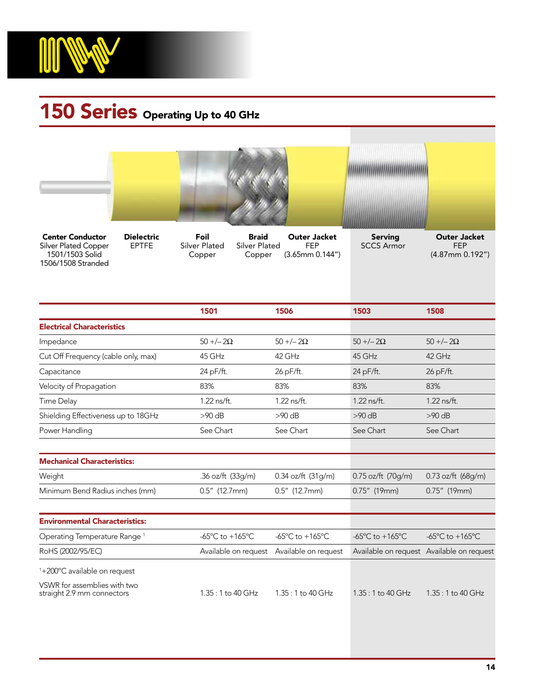

## 150 Series Operating Up to 40 GHz